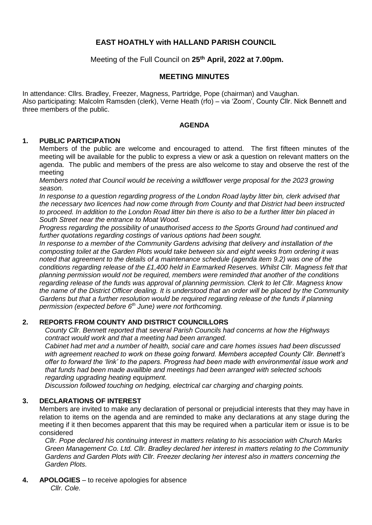# **EAST HOATHLY with HALLAND PARISH COUNCIL**

Meeting of the Full Council on **25th April, 2022 at 7.00pm.**

## **MEETING MINUTES**

In attendance: Cllrs. Bradley, Freezer, Magness, Partridge, Pope (chairman) and Vaughan. Also participating: Malcolm Ramsden (clerk), Verne Heath (rfo) – via 'Zoom', County Cllr. Nick Bennett and three members of the public.

#### **AGENDA**

#### **1. PUBLIC PARTICIPATION**

Members of the public are welcome and encouraged to attend. The first fifteen minutes of the meeting will be available for the public to express a view or ask a question on relevant matters on the agenda. The public and members of the press are also welcome to stay and observe the rest of the meeting

*Members noted that Council would be receiving a wildflower verge proposal for the 2023 growing season.*

*In response to a question regarding progress of the London Road layby litter bin, clerk advised that the necessary two licences had now come through from County and that District had been instructed to proceed. In addition to the London Road litter bin there is also to be a further litter bin placed in South Street near the entrance to Moat Wood.*

*Progress regarding the possibility of unauthorised access to the Sports Ground had continued and further quotations regarding costings of various options had been sought.*

*In response to a member of the Community Gardens advising that delivery and installation of the composting toilet at the Garden Plots would take between six and eight weeks from ordering it was noted that agreement to the details of a maintenance schedule (agenda item 9.2) was one of the conditions regarding release of the £1,400 held in Earmarked Reserves. Whilst Cllr. Magness felt that planning permission would not be required, members were reminded that another of the conditions regarding release of the funds was approval of planning permission. Clerk to let Cllr. Magness know the name of the District Officer dealing. It is understood that an order will be placed by the Community Gardens but that a further resolution would be required regarding release of the funds if planning permission (expected before 6th June) were not forthcoming.* 

## **2. REPORTS FROM COUNTY AND DISTRICT COUNCILLORS**

*County Cllr. Bennett reported that several Parish Councils had concerns at how the Highways contract would work and that a meeting had been arranged.*

*Cabinet had met and a number of health, social care and care homes issues had been discussed with agreement reached to work on these going forward. Members accepted County Cllr. Bennett's offer to forward the 'link' to the papers. Progress had been made with environmental issue work and that funds had been made availlble and meetings had been arranged with selected schools regarding upgrading heating equipment.* 

*Discussion followed touching on hedging, electrical car charging and charging points.*

## **3. DECLARATIONS OF INTEREST**

Members are invited to make any declaration of personal or prejudicial interests that they may have in relation to items on the agenda and are reminded to make any declarations at any stage during the meeting if it then becomes apparent that this may be required when a particular item or issue is to be considered

*Cllr. Pope declared his continuing interest in matters relating to his association with Church Marks Green Management Co. Ltd. Cllr. Bradley declared her interest in matters relating to the Community Gardens and Garden Plots with Cllr. Freezer declaring her interest also in matters concerning the Garden Plots.*

**4. APOLOGIES** – to receive apologies for absence *Cllr. Cole.*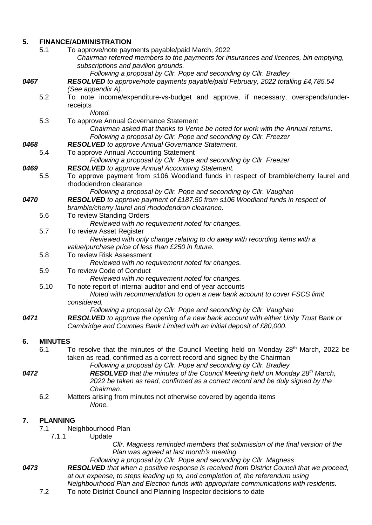## **5. FINANCE/ADMINISTRATION**

|      | 5.1             | To approve/note payments payable/paid March, 2022<br>Chairman referred members to the payments for insurances and licences, bin emptying,<br>subscriptions and pavilion grounds.              |  |  |
|------|-----------------|-----------------------------------------------------------------------------------------------------------------------------------------------------------------------------------------------|--|--|
| 0467 |                 | Following a proposal by Cllr. Pope and seconding by Cllr. Bradley<br>RESOLVED to approve/note payments payable/paid February, 2022 totalling £4,785.54<br>(See appendix A).                   |  |  |
|      | 5.2             | To note income/expenditure-vs-budget and approve, if necessary, overspends/under-<br>receipts<br>Noted.                                                                                       |  |  |
|      | 5.3             | To approve Annual Governance Statement<br>Chairman asked that thanks to Verne be noted for work with the Annual returns.<br>Following a proposal by Cllr. Pope and seconding by Cllr. Freezer |  |  |
| 0468 |                 | <b>RESOLVED</b> to approve Annual Governance Statement.                                                                                                                                       |  |  |
|      | 5.4             | To approve Annual Accounting Statement                                                                                                                                                        |  |  |
|      |                 | Following a proposal by Cllr. Pope and seconding by Cllr. Freezer                                                                                                                             |  |  |
| 0469 |                 | <b>RESOLVED</b> to approve Annual Accounting Statement.                                                                                                                                       |  |  |
|      | 5.5             | To approve payment from s106 Woodland funds in respect of bramble/cherry laurel and<br>rhododendron clearance                                                                                 |  |  |
| 0470 |                 | Following a proposal by Cllr. Pope and seconding by Cllr. Vaughan<br><b>RESOLVED</b> to approve payment of £187.50 from s106 Woodland funds in respect of                                     |  |  |
|      |                 | bramble/cherry laurel and rhododendron clearance.                                                                                                                                             |  |  |
|      | 5.6             | To review Standing Orders<br>Reviewed with no requirement noted for changes.                                                                                                                  |  |  |
|      | 5.7             | To review Asset Register                                                                                                                                                                      |  |  |
|      |                 | Reviewed with only change relating to do away with recording items with a                                                                                                                     |  |  |
|      |                 | value/purchase price of less than £250 in future.                                                                                                                                             |  |  |
|      | 5.8             | To review Risk Assessment                                                                                                                                                                     |  |  |
|      |                 | Reviewed with no requirement noted for changes.                                                                                                                                               |  |  |
|      | 5.9             | To review Code of Conduct                                                                                                                                                                     |  |  |
|      |                 | Reviewed with no requirement noted for changes.                                                                                                                                               |  |  |
|      | 5.10            | To note report of internal auditor and end of year accounts<br>Noted with recommendation to open a new bank account to cover FSCS limit<br>considered.                                        |  |  |
|      |                 | Following a proposal by Cllr. Pope and seconding by Cllr. Vaughan                                                                                                                             |  |  |
| 0471 |                 | <b>RESOLVED</b> to approve the opening of a new bank account with either Unity Trust Bank or<br>Cambridge and Counties Bank Limited with an initial deposit of £80,000.                       |  |  |
| 6.   | <b>MINUTES</b>  |                                                                                                                                                                                               |  |  |
|      | 6.1             | To resolve that the minutes of the Council Meeting held on Monday 28 <sup>th</sup> March, 2022 be                                                                                             |  |  |
|      |                 | taken as read, confirmed as a correct record and signed by the Chairman                                                                                                                       |  |  |
|      |                 | Following a proposal by Cllr. Pope and seconding by Cllr. Bradley                                                                                                                             |  |  |
| 0472 |                 | <b>RESOLVED</b> that the minutes of the Council Meeting held on Monday 28 <sup>th</sup> March,                                                                                                |  |  |
|      |                 | 2022 be taken as read, confirmed as a correct record and be duly signed by the                                                                                                                |  |  |
|      |                 | Chairman.                                                                                                                                                                                     |  |  |
|      | 6.2             | Matters arising from minutes not otherwise covered by agenda items<br>None.                                                                                                                   |  |  |
| 7.   | <b>PLANNING</b> |                                                                                                                                                                                               |  |  |
|      | 7.1             | Neighbourhood Plan                                                                                                                                                                            |  |  |
|      | 7.1.1           | Update                                                                                                                                                                                        |  |  |
|      |                 | CIIr. Magness reminded members that submission of the final version of the                                                                                                                    |  |  |
|      |                 | Plan was agreed at last month's meeting.                                                                                                                                                      |  |  |
|      |                 | Following a proposal by Cllr. Pope and seconding by Cllr. Magness                                                                                                                             |  |  |
| 0473 |                 | <b>RESOLVED</b> that when a positive response is received from District Council that we proceed,                                                                                              |  |  |
|      |                 | at our expense, to steps leading up to, and completion of, the referendum using                                                                                                               |  |  |
|      |                 | Neighbourhood Plan and Election funds with appropriate communications with residents.                                                                                                         |  |  |

7.2 To note District Council and Planning Inspector decisions to date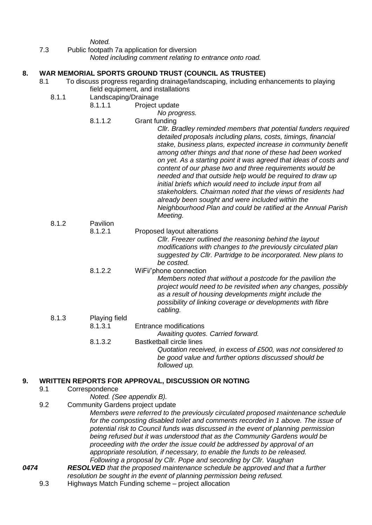*Noted.*

7.3 Public footpath 7a application for diversion

*Noted including comment relating to entrance onto road.*

#### **8. WAR MEMORIAL SPORTS GROUND TRUST (COUNCIL AS TRUSTEE)**

- 8.1 To discuss progress regarding drainage/landscaping, including enhancements to playing field equipment, and installations
	- 8.1.1 Landscaping/Drainage
		- 8.1.1.1 Project update
	- *No progress.* 8.1.1.2 Grant funding *Cllr. Bradley reminded members that potential funders required detailed proposals including plans, costs, timings, financial stake, business plans, expected increase in community benefit among other things and that none of these had been worked on yet. As a starting point it was agreed that ideas of costs and content of our phase two and three requirements would be needed and that outside help would be required to draw up initial briefs which would need to include input from all stakeholders. Chairman noted that the views of residents had already been sought and were included within the Neighbourhood Plan and could be ratified at the Annual Parish Meeting.*  8.1.2 Pavilion 8.1.2.1 Proposed layout alterations *Cllr. Freezer outlined the reasoning behind the layout*
	- *modifications with changes to the previously circulated plan suggested by Cllr. Partridge to be incorporated. New plans to be costed.* 8.1.2.2 WiFi/'phone connection *Members noted that without a postcode for the pavilion the project would need to be revisited when any changes, possibly as a result of housing developments might include the possibility of linking coverage or developments with fibre cabling.* 8.1.3 Playing field 8.1.3.1 Entrance modifications *Awaiting quotes. Carried forward.* 8.1.3.2 Bastketball circle lines
		- *Quotation received, in excess of £500, was not considered to be good value and further options discussed should be followed up.*

## **9. WRITTEN REPORTS FOR APPROVAL, DISCUSSION OR NOTING**

- 9.1 Correspondence
	- *Noted. (See appendix B).*
- 9.2 Community Gardens project update

*Members were referred to the previously circulated proposed maintenance schedule for the composting disabled toilet and comments recorded in 1 above. The issue of potential risk to Council funds was discussed in the event of planning permission being refused but it was understood that as the Community Gardens would be proceeding with the order the issue could be addressed by approval of an appropriate resolution, if necessary, to enable the funds to be released. Following a proposal by Cllr. Pope and seconding by Cllr. Vaughan*

- *0474 RESOLVED that the proposed maintenance schedule be approved and that a further resolution be sought in the event of planning permission being refused.*
	- 9.3 Highways Match Funding scheme project allocation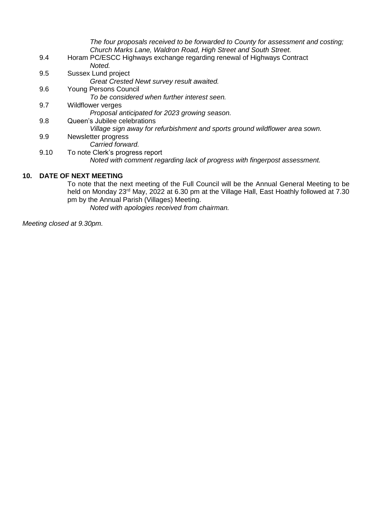*The four proposals received to be forwarded to County for assessment and costing; Church Marks Lane, Waldron Road, High Street and South Street.* 9.4 Horam PC/ESCC Highways exchange regarding renewal of Highways Contract *Noted.* 9.5 Sussex Lund project *Great Crested Newt survey result awaited.* 9.6 Young Persons Council *To be considered when further interest seen.* 9.7 Wildflower verges *Proposal anticipated for 2023 growing season.* 9.8 Queen's Jubilee celebrations *Village sign away for refurbishment and sports ground wildflower area sown.* 9.9 Newsletter progress *Carried forward.* 9.10 To note Clerk's progress report *Noted with comment regarding lack of progress with fingerpost assessment.* **10. DATE OF NEXT MEETING**

To note that the next meeting of the Full Council will be the Annual General Meeting to be held on Monday 23<sup>rd</sup> May, 2022 at 6.30 pm at the Village Hall, East Hoathly followed at 7.30 pm by the Annual Parish (Villages) Meeting. *Noted with apologies received from chairman.*

*Meeting closed at 9.30pm.*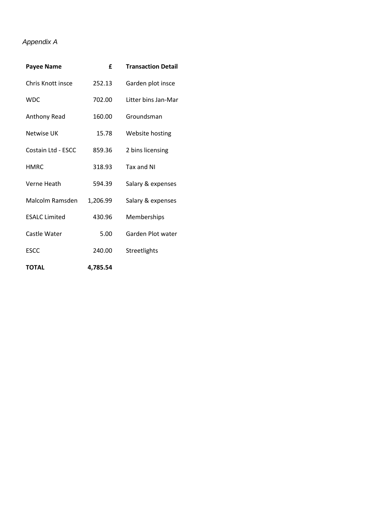# *Appendix A*

| <b>Payee Name</b>    | £        | <b>Transaction Detail</b> |
|----------------------|----------|---------------------------|
| Chris Knott insce    | 252.13   | Garden plot insce         |
| WDC.                 | 702.00   | Litter bins Jan-Mar       |
| <b>Anthony Read</b>  | 160.00   | Groundsman                |
| Netwise UK           | 15.78    | Website hosting           |
| Costain Ltd - ESCC   | 859.36   | 2 bins licensing          |
| <b>HMRC</b>          | 318.93   | Tax and NI                |
| Verne Heath          | 594.39   | Salary & expenses         |
| Malcolm Ramsden      | 1,206.99 | Salary & expenses         |
| <b>ESALC Limited</b> | 430.96   | Memberships               |
| Castle Water         | 5.00     | Garden Plot water         |
| <b>ESCC</b>          | 240.00   | Streetlights              |
| <b>TOTAL</b>         | 4.785.54 |                           |